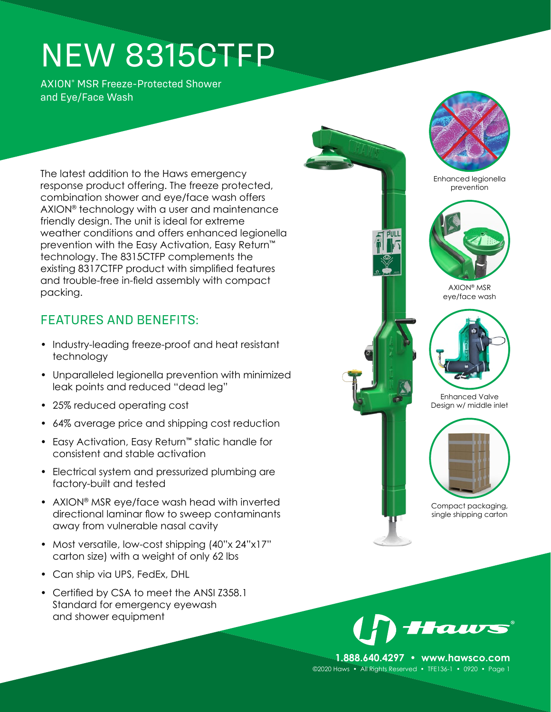# NEW 8315CTFP

AXION® MSR Freeze-Protected Shower and Eye/Face Wash

The latest addition to the Haws emergency response product offering. The freeze protected, combination shower and eye/face wash offers AXION® technology with a user and maintenance friendly design. The unit is ideal for extreme weather conditions and offers enhanced legionella prevention with the Easy Activation, Easy Return™ technology. The 8315CTFP complements the existing 8317CTFP product with simplified features and trouble-free in-field assembly with compact packing.

### FEATURES AND BENEFITS:

- Industry-leading freeze-proof and heat resistant technology
- Unparalleled legionella prevention with minimized leak points and reduced "dead leg"
- 25% reduced operating cost
- 64% average price and shipping cost reduction
- Easy Activation, Easy Return**™** static handle for consistent and stable activation
- Electrical system and pressurized plumbing are factory-built and tested
- AXION® MSR eye/face wash head with inverted directional laminar flow to sweep contaminants away from vulnerable nasal cavity
- Most versatile, low-cost shipping (40"x 24"x17" carton size) with a weight of only 62 lbs
- Can ship via UPS, FedEx, DHL
- Certified by CSA to meet the ANSI Z358.1 Standard for emergency eyewash and shower equipment



puli







AXION® MSR eye/face wash



Enhanced Valve Design w/ middle inlet



Compact packaging, single shipping carton



**1.888.640.4297 • www.hawsco.com** ©2020 Haws • All Rights Reserved • TFE136-1 • 0920 • Page 1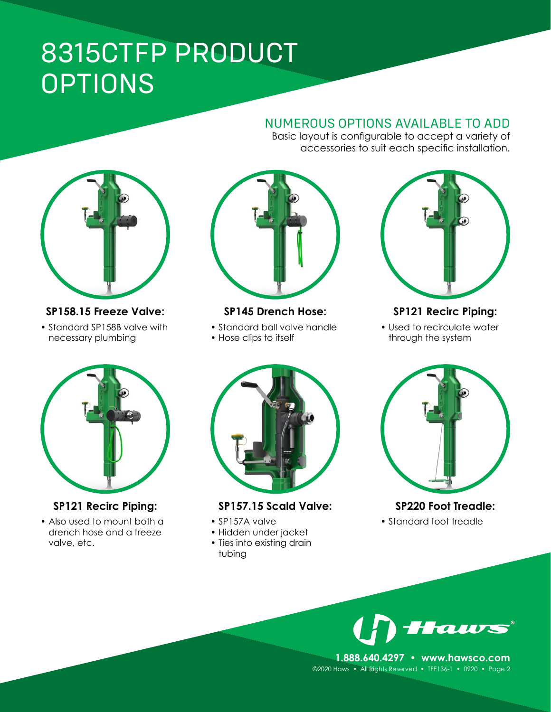## 8315CTFP PRODUCT OPTIONS

#### NUMEROUS OPTIONS AVAILABLE TO ADD Basic layout is configurable to accept a variety of

accessories to suit each specific installation.



#### **SP158.15 Freeze Valve:**

• Standard SP158B valve with necessary plumbing



**SP145 Drench Hose:**

- Standard ball valve handle
- Hose clips to itself



**SP121 Recirc Piping:**

• Also used to mount both a drench hose and a freeze valve, etc.



#### **SP157.15 Scald Valve:**

- SP157A valve
- Hidden under jacket
- Ties into existing drain tubing



#### **SP121 Recirc Piping:**

• Used to recirculate water through the system



### **SP220 Foot Treadle:**

• Standard foot treadle



**1.888.640.4297 • www.hawsco.com** ©2020 Haws • All Rights Reserved • TFE136-1 • 0920 • Page 2